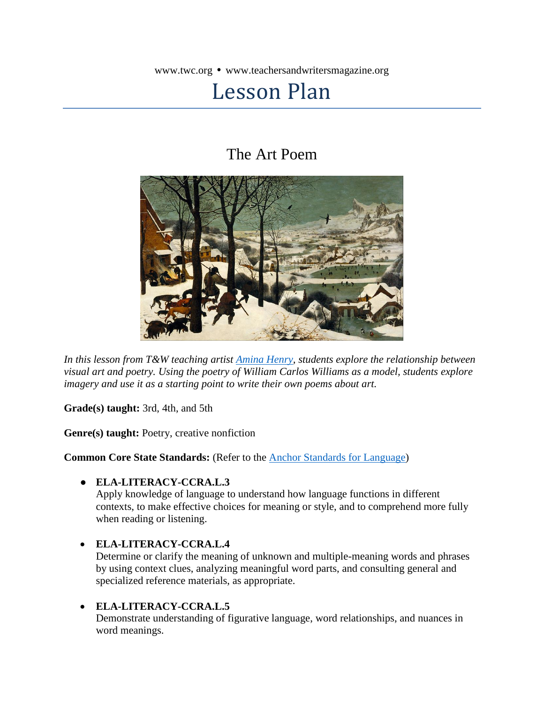www.twc.org • www.teachersandwritersmagazine.org

# Lesson Plan

## The Art Poem



*In this lesson from T&W teaching artist [Amina Henry,](https://aminahenry.wordpress.com/) students explore the relationship between visual art and poetry. Using the poetry of William Carlos Williams as a model, students explore imagery and use it as a starting point to write their own poems about art.*

**Grade(s) taught:** 3rd, 4th, and 5th

**Genre(s) taught:** Poetry, creative nonfiction

**Common Core State Standards:** (Refer to the [Anchor Standards for Language\)](http://www.corestandards.org/ELA-Literacy/CCRA/L/)

#### ● **ELA-LITERACY-CCRA.L.3**

Apply knowledge of language to understand how language functions in different contexts, to make effective choices for meaning or style, and to comprehend more fully when reading or listening.

#### **ELA-LITERACY-CCRA.L.4**

Determine or clarify the meaning of unknown and multiple-meaning words and phrases by using context clues, analyzing meaningful word parts, and consulting general and specialized reference materials, as appropriate.

#### **ELA-LITERACY-CCRA.L.5**

Demonstrate understanding of figurative language, word relationships, and nuances in word meanings.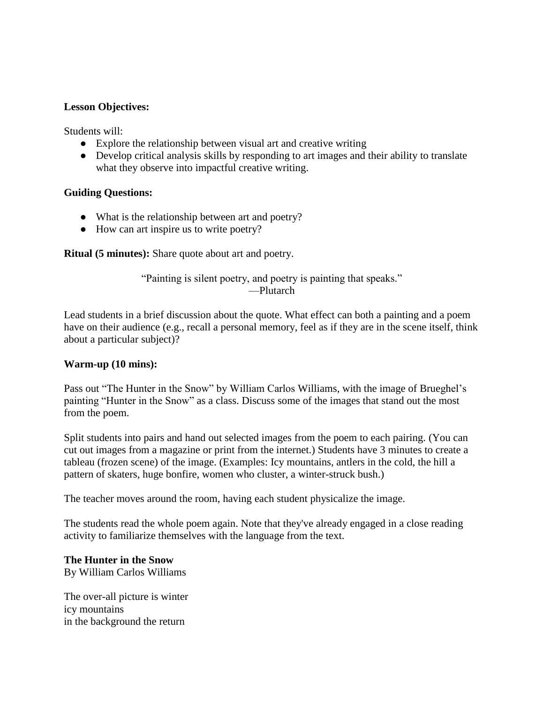#### **Lesson Objectives:**

Students will:

- Explore the relationship between visual art and creative writing
- Develop critical analysis skills by responding to art images and their ability to translate what they observe into impactful creative writing.

#### **Guiding Questions:**

- What is the relationship between art and poetry?
- How can art inspire us to write poetry?

**Ritual (5 minutes):** Share quote about art and poetry.

"Painting is silent poetry, and poetry is painting that speaks." —Plutarch

Lead students in a brief discussion about the quote. What effect can both a painting and a poem have on their audience (e.g., recall a personal memory, feel as if they are in the scene itself, think about a particular subject)?

#### **Warm-up (10 mins):**

Pass out "The Hunter in the Snow" by William Carlos Williams, with the image of Brueghel's painting "Hunter in the Snow" as a class. Discuss some of the images that stand out the most from the poem.

Split students into pairs and hand out selected images from the poem to each pairing. (You can cut out images from a magazine or print from the internet.) Students have 3 minutes to create a tableau (frozen scene) of the image. (Examples: Icy mountains, antlers in the cold, the hill a pattern of skaters, huge bonfire, women who cluster, a winter-struck bush.)

The teacher moves around the room, having each student physicalize the image.

The students read the whole poem again. Note that they've already engaged in a close reading activity to familiarize themselves with the language from the text.

### **The Hunter in the Snow**

By William Carlos Williams

The over-all picture is winter icy mountains in the background the return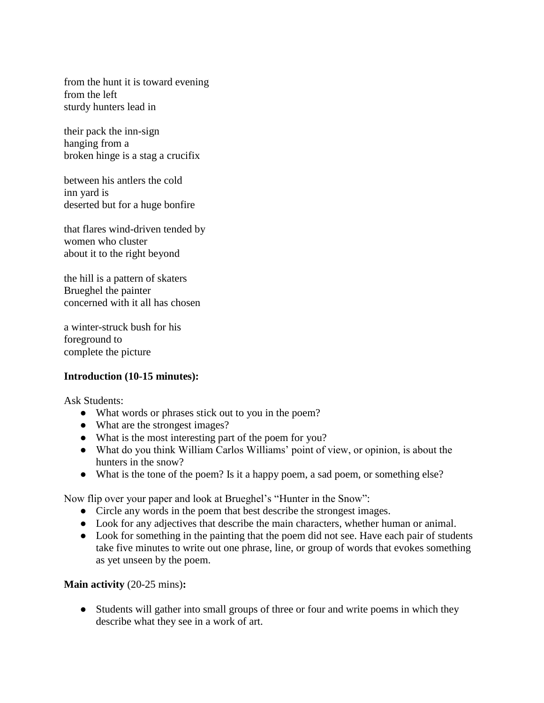from the hunt it is toward evening from the left sturdy hunters lead in

their pack the inn-sign hanging from a broken hinge is a stag a crucifix

between his antlers the cold inn yard is deserted but for a huge bonfire

that flares wind-driven tended by women who cluster about it to the right beyond

the hill is a pattern of skaters Brueghel the painter concerned with it all has chosen

a winter-struck bush for his foreground to complete the picture

#### **Introduction (10-15 minutes):**

Ask Students:

- What words or phrases stick out to you in the poem?
- What are the strongest images?
- What is the most interesting part of the poem for you?
- What do you think William Carlos Williams' point of view, or opinion, is about the hunters in the snow?
- What is the tone of the poem? Is it a happy poem, a sad poem, or something else?

Now flip over your paper and look at Brueghel's "Hunter in the Snow":

- Circle any words in the poem that best describe the strongest images.
- Look for any adjectives that describe the main characters, whether human or animal.
- Look for something in the painting that the poem did not see. Have each pair of students take five minutes to write out one phrase, line, or group of words that evokes something as yet unseen by the poem.

#### **Main activity** (20-25 mins)**:**

• Students will gather into small groups of three or four and write poems in which they describe what they see in a work of art.